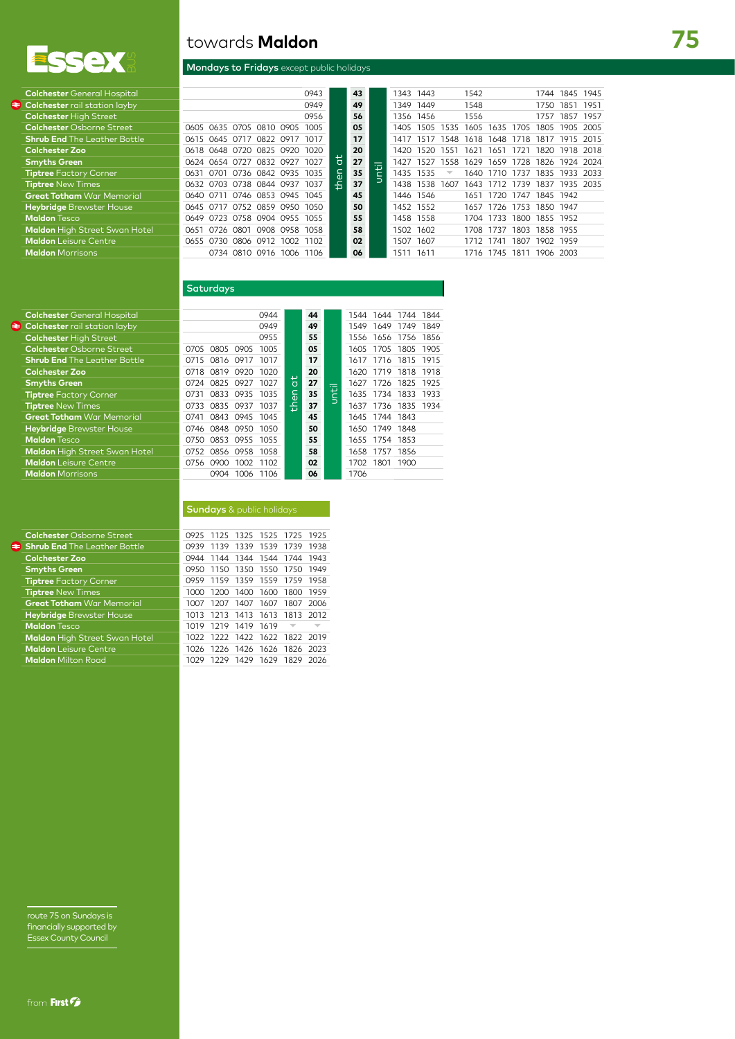

⋹

# towards **Maldon**

## Mondays to Fridays except public holidays

| <b>Colchester</b> General Hospital   |                               |                          |           | 0943 |                | 43 |     |       | 1343 1443 |                          | 1542 |      |           |                     | 1744 1845 1945 |      |
|--------------------------------------|-------------------------------|--------------------------|-----------|------|----------------|----|-----|-------|-----------|--------------------------|------|------|-----------|---------------------|----------------|------|
| <b>Colchester</b> rail station layby |                               |                          |           | 0949 |                | 49 |     | 1349  | 1449      |                          | 1548 |      |           | 1750 1851           |                | 1951 |
| <b>Colchester High Street</b>        |                               |                          |           | 0956 |                | 56 |     |       | 1356 1456 |                          | 1556 |      |           |                     | 1757 1857      | 1957 |
| <b>Colchester</b> Osborne Street     | 0605 0635 0705 0810 0905      |                          |           | 1005 |                | 05 |     | 1405  | 1505      | 1535                     | 1605 | 1635 | 1705      |                     | 1805 1905 2005 |      |
| <b>Shrub End</b> The Leather Bottle  | 0615 0645 0717                | 0822                     | 0917      | 1017 |                | 17 |     | 1417  | 1517      | 1548                     | 1618 | 1648 | 1718      | 1817                | 1915 2015      |      |
| Colchester Zoo                       | 0618 0648 0720 0825 0920 1020 |                          |           |      |                | 20 |     | 1420. | 1520      | 1551                     | 1621 | 1651 | 1721      |                     | 1820 1918 2018 |      |
| <b>Smyths Green</b>                  | 0624 0654 0727                |                          | 0832 0927 | 1027 | $\overline{a}$ | 27 | $=$ | 1427  | 1527      | 1558                     | 1629 | 1659 | 1728      | 1826                | 1924 2024      |      |
| <b>Tiptree Factory Corner</b>        | 0701<br>0631                  | 0736 0842 0935 1035      |           |      | then           | 35 | Ë   |       | 1435 1535 | $\overline{\phantom{a}}$ | 1640 | 1710 |           | 1737 1835 1933 2033 |                |      |
| <b>Tiptree New Times</b>             | 0632 0703 0738 0844 0937      |                          |           | 1037 |                | 37 |     | 1438  | 1538      | 1607                     | 1643 |      | 1712 1739 | 1837 1935 2035      |                |      |
| <b>Great Totham</b> War Memorial     | 0640 0711                     | 0746 0853 0945 1045      |           |      |                | 45 |     |       | 1446 1546 |                          | 1651 | 1720 |           | 1747 1845 1942      |                |      |
| Heybridge Brewster House             | 0645 0717                     | 0752 0859 0950 1050      |           |      |                | 50 |     |       | 1452 1552 |                          | 1657 | 1726 |           | 1753 1850 1947      |                |      |
| <b>Maldon</b> Tesco                  | 0649 0723 0758 0904 0955 1055 |                          |           |      |                | 55 |     |       | 1458 1558 |                          | 1704 | 1733 |           | 1800 1855 1952      |                |      |
| Maldon High Street Swan Hotel        | 0651                          | 0726 0801 0908 0958 1058 |           |      |                | 58 |     | 1502  | 1602      |                          | 1708 | 1737 | 1803      | 1858 1955           |                |      |
| <b>Maldon</b> Leisure Centre         | 0730<br>0655                  | 0806<br>0912             | 1002      | 1102 |                | 02 |     | 1507  | 1607      |                          | 1712 | 1741 | 1807      | 1902 1959           |                |      |
| <b>Maldon</b> Morrisons              |                               | 0734 0810 0916 1006 1106 |           |      |                | 06 |     | 1511  | 1611      |                          | 1716 | 1745 | 1811      | 1906 2003           |                |      |
|                                      |                               |                          |           |      |                |    |     |       |           |                          |      |      |           |                     |                |      |

# Saturdays

| <b>Colchester</b> General Hospital   |      |           |           | 0944 |    | 44 |                                    |       | 1544 1644 1744 |                     | 1844 |
|--------------------------------------|------|-----------|-----------|------|----|----|------------------------------------|-------|----------------|---------------------|------|
| <b>Colchester</b> rail station layby |      |           |           | 0949 |    | 49 |                                    | 1549  | 1649           | 1749                | 1849 |
| <b>Colchester High Street</b>        |      |           |           | 0955 |    | 55 |                                    |       |                | 1556 1656 1756 1856 |      |
| <b>Colchester</b> Osborne Street     | 0705 | 0805 0905 |           | 1005 |    | 05 |                                    | 1605  | 1705           | 1805                | 1905 |
| <b>Shrub End The Leather Bottle</b>  | 0715 | 0816      | 0917      | 1017 |    | 17 |                                    | 1617  |                | 1716 1815 1915      |      |
| <b>Colchester Zoo</b>                | 0718 | 0819      | 0920      | 1020 |    | 20 |                                    | 1620  | 1719           | 1818                | 1918 |
| <b>Smyths Green</b>                  | 0724 |           | 0825 0927 | 1027 | 说  | 27 | $\overline{\phantom{a}}$<br>$\sim$ | 1627  | 1726           | 1825                | 1925 |
| <b>Tiptree Factory Corner</b>        | 0731 |           | 0833 0935 | 1035 | ۵F | 35 | a                                  |       | 1635 1734 1833 |                     | 1933 |
| <b>Tiptree New Times</b>             | 0733 | 0835      | 0937      | 1037 | 좀  | 37 |                                    | 1637  | 1736           | 1835                | 1934 |
| <b>Great Totham</b> War Memorial     | 0741 | 0843      | 0945      | 1045 |    | 45 |                                    | 1645  | 1744 1843      |                     |      |
| <b>Heybridge Brewster House</b>      | 0746 |           | 0848 0950 | 1050 |    | 50 |                                    | 1650  | 1749           | 1848                |      |
| <b>Maldon Tesco</b>                  | 0750 | O853      | 0955      | 1055 |    | 55 |                                    | 1655  | 1754 1853      |                     |      |
| <b>Maldon</b> High Street Swan Hotel | 0752 | 0856      | 0958      | 1058 |    | 58 |                                    | 1658  | 1757           | 1856                |      |
| <b>Maldon</b> Leisure Centre         | 0756 | 0900      | 1002      | 1102 |    | 02 |                                    | 1702. | 1801           | 1900                |      |
| <b>Maldon</b> Morrisons              |      | 0904      | 1006      | 1106 |    | 06 |                                    | 1706  |                |                     |      |
|                                      |      |           |           |      |    |    |                                    |       |                |                     |      |

#### Sundays & public holidays

| <b>Colchester Osborne Street</b>     | 0925 I |                |                     |      | 1125 1325 1525 1725 1925      |      |
|--------------------------------------|--------|----------------|---------------------|------|-------------------------------|------|
| <b>Shrub End The Leather Bottle</b>  | 0939   | 1139           | 1339 1539 1739      |      |                               | 1938 |
| <b>Colchester Zoo</b>                | 0944   |                |                     |      | 1144 1344 1544 1744           | 1943 |
| <b>Smyths Green</b>                  | 0950 i |                |                     |      | 1150 1350 1550 1750 1949      |      |
| <b>Tiptree Factory Corner</b>        | 0959   |                | 1159 1359 1559 1759 |      |                               | 1958 |
| <b>Tiptree New Times</b>             | 1000.  | 1200 1400 1600 |                     |      | 1800                          | 1959 |
| <b>Great Totham War Memorial</b>     | 1007   | 1207           | 1407 1607           |      | 1807                          | 2006 |
| <b>Heybridge Brewster House</b>      | 1013   |                |                     |      | 1213 1413 1613 1813           | 2012 |
| <b>Maldon Tesco</b>                  | 1019   |                | 1219 1419           | 1619 |                               |      |
| <b>Maldon</b> High Street Swan Hotel |        |                |                     |      | 1022 1222 1422 1622 1822 2019 |      |
| <b>Maldon</b> Leisure Centre         | 1026.  |                | 1226 1426 1626      |      | 1826                          | 2023 |
| <b>Maldon</b> Milton Road            | 1029   | 1229           | 1429                | 1629 | 1829                          | 2026 |

route 75 on Sundays is financially supported by Essex County Council